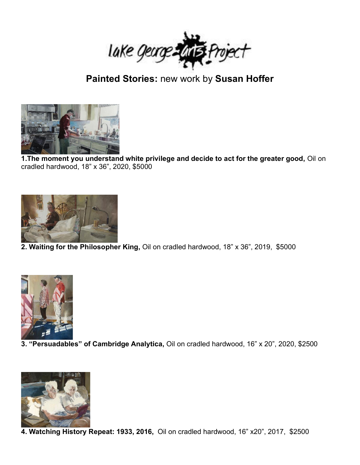

## **Painted Stories:** new work by **Susan Hoffer**



**1.The moment you understand white privilege and decide to act for the greater good,** Oil on cradled hardwood, 18" x 36", 2020, \$5000



**2. Waiting for the Philosopher King,** Oil on cradled hardwood, 18" x 36", 2019, \$5000



**3. "Persuadables" of Cambridge Analytica,** Oil on cradled hardwood, 16" x 20", 2020, \$2500



**4. Watching History Repeat: 1933, 2016,** Oil on cradled hardwood, 16" x20", 2017, \$2500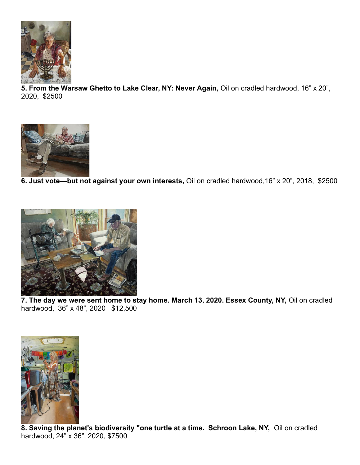

**5. From the Warsaw Ghetto to Lake Clear, NY: Never Again,** Oil on cradled hardwood, 16" x 20", 2020, \$2500



**6. Just vote—but not against your own interests,** Oil on cradled hardwood,16" x 20", 2018, \$2500



**7. The day we were sent home to stay home. March 13, 2020. Essex County, NY,** Oil on cradled hardwood, 36" x 48", 2020 \$12,500



**8. Saving the planet's biodiversity "one turtle at a time. Schroon Lake, NY,** Oil on cradled hardwood, 24" x 36", 2020, \$7500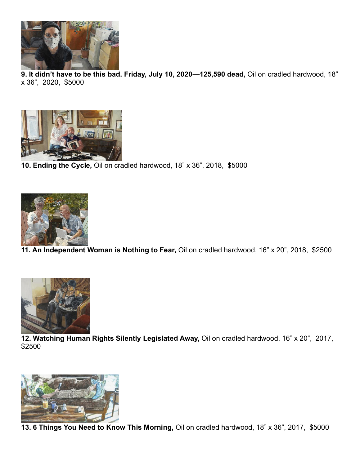

**9. It didn't have to be this bad. Friday, July 10, 2020—125,590 dead,** Oil on cradled hardwood, 18" x 36", 2020, \$5000



**10. Ending the Cycle,** Oil on cradled hardwood, 18" x 36", 2018, \$5000



**11. An Independent Woman is Nothing to Fear,** Oil on cradled hardwood, 16" x 20", 2018, \$2500



**12. Watching Human Rights Silently Legislated Away,** Oil on cradled hardwood, 16" x 20", 2017, \$2500



**13. 6 Things You Need to Know This Morning,** Oil on cradled hardwood, 18" x 36", 2017, \$5000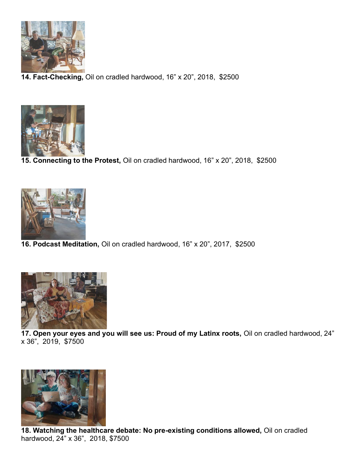

**14. Fact-Checking,** Oil on cradled hardwood, 16" x 20", 2018, \$2500



**15. Connecting to the Protest,** Oil on cradled hardwood, 16" x 20", 2018, \$2500



**16. Podcast Meditation,** Oil on cradled hardwood, 16" x 20", 2017, \$2500



**17. Open your eyes and you will see us: Proud of my Latinx roots,** Oil on cradled hardwood, 24" x 36", 2019, \$7500



**18. Watching the healthcare debate: No pre-existing conditions allowed,** Oil on cradled hardwood, 24" x 36", 2018, \$7500